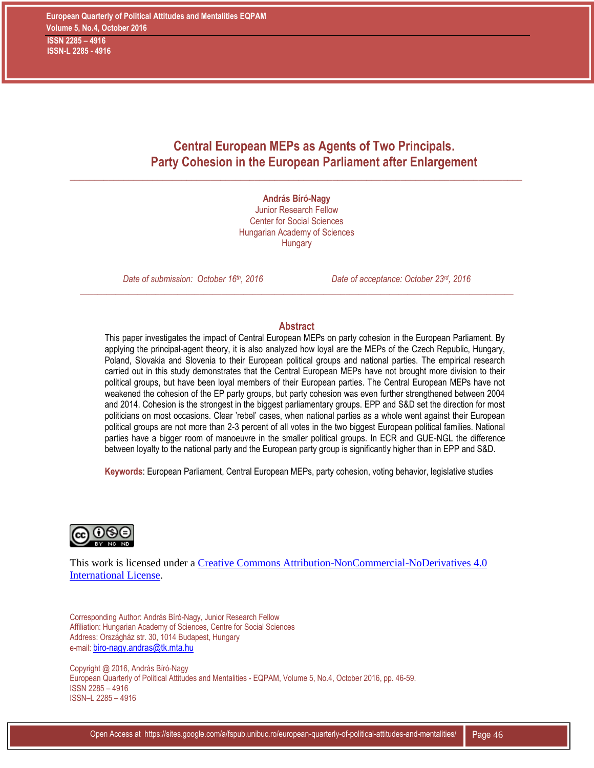# **Central European MEPs as Agents of Two Principals. Party Cohesion in the European Parliament after Enlargement**

# **András Bíró-Nagy**

 $\_$  ,  $\_$  ,  $\_$  ,  $\_$  ,  $\_$  ,  $\_$  ,  $\_$  ,  $\_$  ,  $\_$  ,  $\_$  ,  $\_$  ,  $\_$  ,  $\_$  ,  $\_$  ,  $\_$  ,  $\_$  ,  $\_$  ,  $\_$  ,  $\_$  ,  $\_$  ,  $\_$  ,  $\_$  ,  $\_$  ,  $\_$  ,  $\_$  ,  $\_$  ,  $\_$  ,  $\_$  ,  $\_$  ,  $\_$  ,  $\_$  ,  $\_$  ,  $\_$  ,  $\_$  ,  $\_$  ,  $\_$  ,  $\_$  ,

Junior Research Fellow Center for Social Sciences Hungarian Academy of Sciences **Hungary** 

*Date of submission: October 16th, 2016 Date of acceptance: October 23rd, 2016*

# **Abstract**

*\_\_\_\_\_\_\_\_\_\_\_\_\_\_\_\_\_\_\_\_\_\_\_\_\_\_\_\_\_\_\_\_\_\_\_\_\_\_\_\_\_\_\_\_\_\_\_\_\_\_\_\_\_\_\_\_\_\_\_\_\_\_\_\_\_\_\_\_\_\_\_\_\_\_\_\_\_\_\_\_\_\_\_\_\_\_\_\_\_\_\_\_\_\_\_\_\_\_*

This paper investigates the impact of Central European MEPs on party cohesion in the European Parliament. By applying the principal-agent theory, it is also analyzed how loyal are the MEPs of the Czech Republic, Hungary, Poland, Slovakia and Slovenia to their European political groups and national parties. The empirical research carried out in this study demonstrates that the Central European MEPs have not brought more division to their political groups, but have been loyal members of their European parties. The Central European MEPs have not weakened the cohesion of the EP party groups, but party cohesion was even further strengthened between 2004 and 2014. Cohesion is the strongest in the biggest parliamentary groups. EPP and S&D set the direction for most politicians on most occasions. Clear 'rebel' cases, when national parties as a whole went against their European political groups are not more than 2-3 percent of all votes in the two biggest European political families. National parties have a bigger room of manoeuvre in the smaller political groups. In ECR and GUE-NGL the difference between loyalty to the national party and the European party group is significantly higher than in EPP and S&D.

**Keywords**: European Parliament, Central European MEPs, party cohesion, voting behavior, legislative studies



This work is licensed under a [Creative Commons Attribution-NonCommercial-NoDerivatives 4.0](http://creativecommons.org/licenses/by-nc-nd/4.0/)  [International License.](http://creativecommons.org/licenses/by-nc-nd/4.0/)

Corresponding Author: András Bíró-Nagy, Junior Research Fellow Affiliation: Hungarian Academy of Sciences, Centre for Social Sciences Address: Országház str. 30, 1014 Budapest, Hungary e-mail: [biro-nagy.andras@tk.mta.hu](mailto:biro-nagy.andras@tk.mta.hu)

Copyright @ 2016, András Bíró-Nagy European Quarterly of Political Attitudes and Mentalities - EQPAM, Volume 5, No.4, October 2016, pp. 46-59. ISSN 2285 – 4916 ISSN–L 2285 – 4916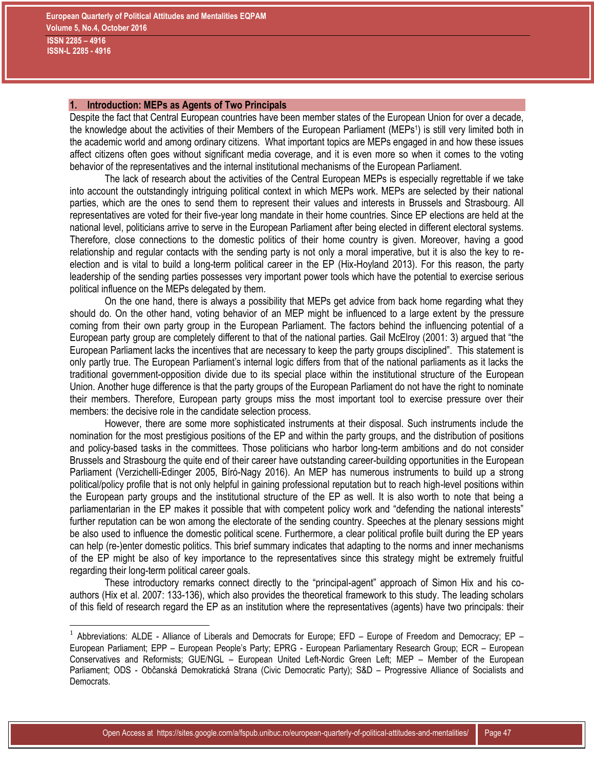$\overline{a}$ 

#### **1. Introduction: MEPs as Agents of Two Principals**

Despite the fact that Central European countries have been member states of the European Union for over a decade, the knowledge about the activities of their Members of the European Parliament (MEPs<sup>1</sup>) is still very limited both in the academic world and among ordinary citizens. What important topics are MEPs engaged in and how these issues affect citizens often goes without significant media coverage, and it is even more so when it comes to the voting behavior of the representatives and the internal institutional mechanisms of the European Parliament.

The lack of research about the activities of the Central European MEPs is especially regrettable if we take into account the outstandingly intriguing political context in which MEPs work. MEPs are selected by their national parties, which are the ones to send them to represent their values and interests in Brussels and Strasbourg. All representatives are voted for their five-year long mandate in their home countries. Since EP elections are held at the national level, politicians arrive to serve in the European Parliament after being elected in different electoral systems. Therefore, close connections to the domestic politics of their home country is given. Moreover, having a good relationship and regular contacts with the sending party is not only a moral imperative, but it is also the key to reelection and is vital to build a long-term political career in the EP (Hix-Hoyland 2013). For this reason, the party leadership of the sending parties possesses very important power tools which have the potential to exercise serious political influence on the MEPs delegated by them.

On the one hand, there is always a possibility that MEPs get advice from back home regarding what they should do. On the other hand, voting behavior of an MEP might be influenced to a large extent by the pressure coming from their own party group in the European Parliament. The factors behind the influencing potential of a European party group are completely different to that of the national parties. Gail McElroy (2001: 3) argued that "the European Parliament lacks the incentives that are necessary to keep the party groups disciplined". This statement is only partly true. The European Parliament's internal logic differs from that of the national parliaments as it lacks the traditional government-opposition divide due to its special place within the institutional structure of the European Union. Another huge difference is that the party groups of the European Parliament do not have the right to nominate their members. Therefore, European party groups miss the most important tool to exercise pressure over their members: the decisive role in the candidate selection process.

However, there are some more sophisticated instruments at their disposal. Such instruments include the nomination for the most prestigious positions of the EP and within the party groups, and the distribution of positions and policy-based tasks in the committees. Those politicians who harbor long-term ambitions and do not consider Brussels and Strasbourg the quite end of their career have outstanding career-building opportunities in the European Parliament (Verzichelli-Edinger 2005, Bíró-Nagy 2016). An MEP has numerous instruments to build up a strong political/policy profile that is not only helpful in gaining professional reputation but to reach high-level positions within the European party groups and the institutional structure of the EP as well. It is also worth to note that being a parliamentarian in the EP makes it possible that with competent policy work and "defending the national interests" further reputation can be won among the electorate of the sending country. Speeches at the plenary sessions might be also used to influence the domestic political scene. Furthermore, a clear political profile built during the EP years can help (re-)enter domestic politics. This brief summary indicates that adapting to the norms and inner mechanisms of the EP might be also of key importance to the representatives since this strategy might be extremely fruitful regarding their long-term political career goals.

These introductory remarks connect directly to the "principal-agent" approach of Simon Hix and his coauthors (Hix et al. 2007: 133-136), which also provides the theoretical framework to this study. The leading scholars of this field of research regard the EP as an institution where the representatives (agents) have two principals: their

<sup>&</sup>lt;sup>1</sup> Abbreviations: ALDE - Alliance of Liberals and Democrats for Europe; EFD – Europe of Freedom and Democracy; EP – European Parliament; EPP – European People's Party; EPRG - European Parliamentary Research Group; ECR – European Conservatives and Reformists; GUE/NGL – European United Left-Nordic Green Left; MEP – Member of the European Parliament; ODS - Občanská Demokratická Strana (Civic Democratic Party); S&D – Progressive Alliance of Socialists and Democrats.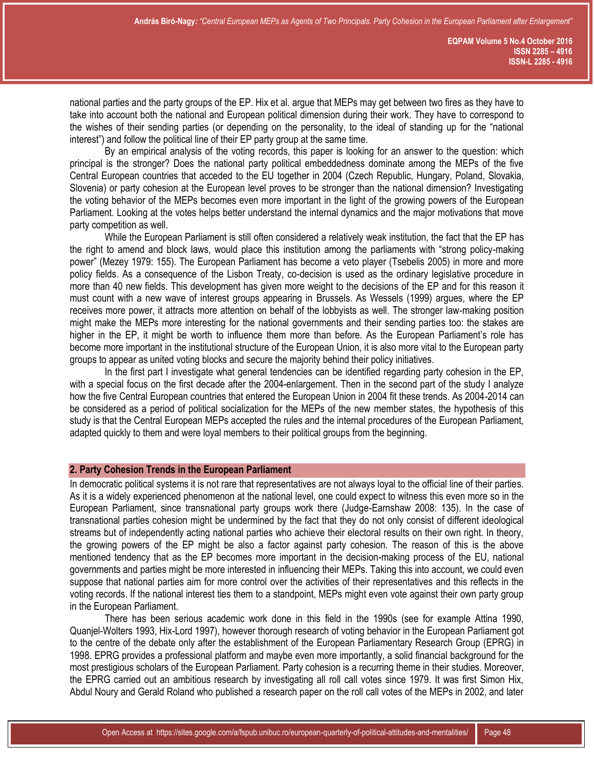national parties and the party groups of the EP. Hix et al. argue that MEPs may get between two fires as they have to take into account both the national and European political dimension during their work. They have to correspond to the wishes of their sending parties (or depending on the personality, to the ideal of standing up for the "national interest") and follow the political line of their EP party group at the same time.

By an empirical analysis of the voting records, this paper is looking for an answer to the question: which principal is the stronger? Does the national party political embeddedness dominate among the MEPs of the five Central European countries that acceded to the EU together in 2004 (Czech Republic, Hungary, Poland, Slovakia, Slovenia) or party cohesion at the European level proves to be stronger than the national dimension? Investigating the voting behavior of the MEPs becomes even more important in the light of the growing powers of the European Parliament. Looking at the votes helps better understand the internal dynamics and the major motivations that move party competition as well.

While the European Parliament is still often considered a relatively weak institution, the fact that the EP has the right to amend and block laws, would place this institution among the parliaments with "strong policy-making power" (Mezey 1979: 155). The European Parliament has become a veto player (Tsebelis 2005) in more and more policy fields. As a consequence of the Lisbon Treaty, co-decision is used as the ordinary legislative procedure in more than 40 new fields. This development has given more weight to the decisions of the EP and for this reason it must count with a new wave of interest groups appearing in Brussels. As Wessels (1999) argues, where the EP receives more power, it attracts more attention on behalf of the lobbyists as well. The stronger law-making position might make the MEPs more interesting for the national governments and their sending parties too: the stakes are higher in the EP, it might be worth to influence them more than before. As the European Parliament's role has become more important in the institutional structure of the European Union, it is also more vital to the European party groups to appear as united voting blocks and secure the majority behind their policy initiatives.

In the first part I investigate what general tendencies can be identified regarding party cohesion in the EP, with a special focus on the first decade after the 2004-enlargement. Then in the second part of the study I analyze how the five Central European countries that entered the European Union in 2004 fit these trends. As 2004-2014 can be considered as a period of political socialization for the MEPs of the new member states, the hypothesis of this study is that the Central European MEPs accepted the rules and the internal procedures of the European Parliament, adapted quickly to them and were loyal members to their political groups from the beginning.

# **2. Party Cohesion Trends in the European Parliament**

In democratic political systems it is not rare that representatives are not always loyal to the official line of their parties. As it is a widely experienced phenomenon at the national level, one could expect to witness this even more so in the European Parliament, since transnational party groups work there (Judge-Earnshaw 2008: 135). In the case of transnational parties cohesion might be undermined by the fact that they do not only consist of different ideological streams but of independently acting national parties who achieve their electoral results on their own right. In theory, the growing powers of the EP might be also a factor against party cohesion. The reason of this is the above mentioned tendency that as the EP becomes more important in the decision-making process of the EU, national governments and parties might be more interested in influencing their MEPs. Taking this into account, we could even suppose that national parties aim for more control over the activities of their representatives and this reflects in the voting records. If the national interest ties them to a standpoint, MEPs might even vote against their own party group in the European Parliament.

There has been serious academic work done in this field in the 1990s (see for example Attina 1990, Quanjel-Wolters 1993, Hix-Lord 1997), however thorough research of voting behavior in the European Parliament got to the centre of the debate only after the establishment of the European Parliamentary Research Group (EPRG) in 1998. EPRG provides a professional platform and maybe even more importantly, a solid financial background for the most prestigious scholars of the European Parliament. Party cohesion is a recurring theme in their studies. Moreover, the EPRG carried out an ambitious research by investigating all roll call votes since 1979. It was first Simon Hix, Abdul Noury and Gerald Roland who published a research paper on the roll call votes of the MEPs in 2002, and later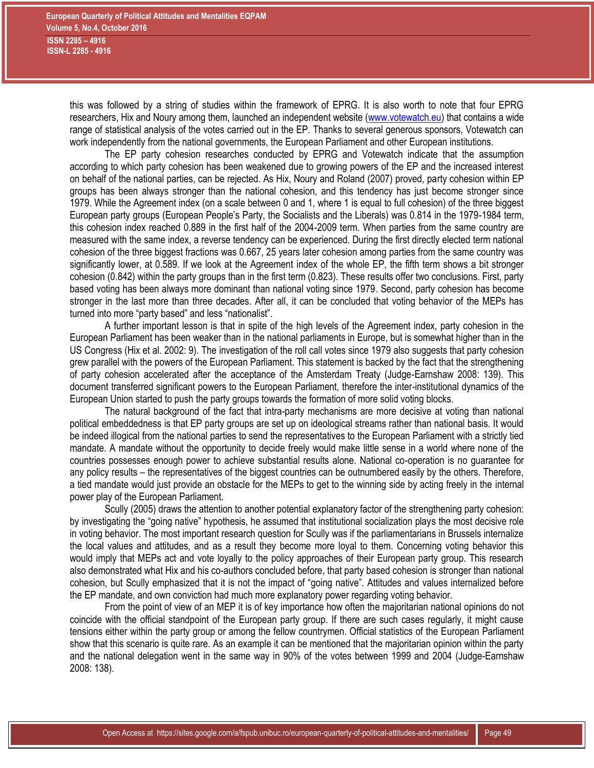this was followed by a string of studies within the framework of EPRG. It is also worth to note that four EPRG researchers, Hix and Noury among them, launched an independent website [\(www.votewatch.eu\)](http://www.votewatch.eu/) that contains a wide range of statistical analysis of the votes carried out in the EP. Thanks to several generous sponsors, Votewatch can work independently from the national governments, the European Parliament and other European institutions.

The EP party cohesion researches conducted by EPRG and Votewatch indicate that the assumption according to which party cohesion has been weakened due to growing powers of the EP and the increased interest on behalf of the national parties, can be rejected. As Hix, Noury and Roland (2007) proved, party cohesion within EP groups has been always stronger than the national cohesion, and this tendency has just become stronger since 1979. While the Agreement index (on a scale between 0 and 1, where 1 is equal to full cohesion) of the three biggest European party groups (European People's Party, the Socialists and the Liberals) was 0.814 in the 1979-1984 term, this cohesion index reached 0.889 in the first half of the 2004-2009 term. When parties from the same country are measured with the same index, a reverse tendency can be experienced. During the first directly elected term national cohesion of the three biggest fractions was 0.667, 25 years later cohesion among parties from the same country was significantly lower, at 0.589. If we look at the Agreement index of the whole EP, the fifth term shows a bit stronger cohesion (0.842) within the party groups than in the first term (0.823). These results offer two conclusions. First, party based voting has been always more dominant than national voting since 1979. Second, party cohesion has become stronger in the last more than three decades. After all, it can be concluded that voting behavior of the MEPs has turned into more "party based" and less "nationalist".

A further important lesson is that in spite of the high levels of the Agreement index, party cohesion in the European Parliament has been weaker than in the national parliaments in Europe, but is somewhat higher than in the US Congress (Hix et al. 2002: 9). The investigation of the roll call votes since 1979 also suggests that party cohesion grew parallel with the powers of the European Parliament. This statement is backed by the fact that the strengthening of party cohesion accelerated after the acceptance of the Amsterdam Treaty (Judge-Earnshaw 2008: 139). This document transferred significant powers to the European Parliament, therefore the inter-institutional dynamics of the European Union started to push the party groups towards the formation of more solid voting blocks.

The natural background of the fact that intra-party mechanisms are more decisive at voting than national political embeddedness is that EP party groups are set up on ideological streams rather than national basis. It would be indeed illogical from the national parties to send the representatives to the European Parliament with a strictly tied mandate. A mandate without the opportunity to decide freely would make little sense in a world where none of the countries possesses enough power to achieve substantial results alone. National co-operation is no guarantee for any policy results – the representatives of the biggest countries can be outnumbered easily by the others. Therefore, a tied mandate would just provide an obstacle for the MEPs to get to the winning side by acting freely in the internal power play of the European Parliament.

Scully (2005) draws the attention to another potential explanatory factor of the strengthening party cohesion: by investigating the "going native" hypothesis, he assumed that institutional socialization plays the most decisive role in voting behavior. The most important research question for Scully was if the parliamentarians in Brussels internalize the local values and attitudes, and as a result they become more loyal to them. Concerning voting behavior this would imply that MEPs act and vote loyally to the policy approaches of their European party group. This research also demonstrated what Hix and his co-authors concluded before, that party based cohesion is stronger than national cohesion, but Scully emphasized that it is not the impact of "going native". Attitudes and values internalized before the EP mandate, and own conviction had much more explanatory power regarding voting behavior.

From the point of view of an MEP it is of key importance how often the majoritarian national opinions do not coincide with the official standpoint of the European party group. If there are such cases regularly, it might cause tensions either within the party group or among the fellow countrymen. Official statistics of the European Parliament show that this scenario is quite rare. As an example it can be mentioned that the majoritarian opinion within the party and the national delegation went in the same way in 90% of the votes between 1999 and 2004 (Judge-Earnshaw 2008: 138).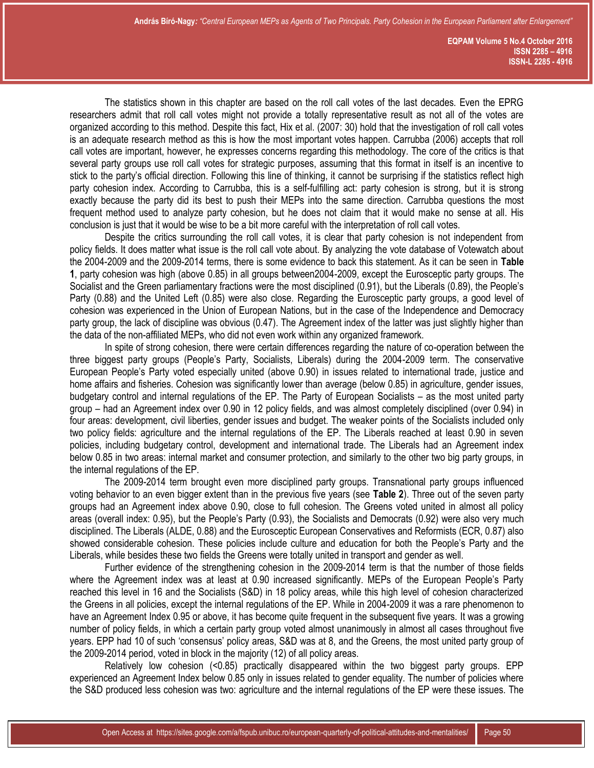The statistics shown in this chapter are based on the roll call votes of the last decades. Even the EPRG researchers admit that roll call votes might not provide a totally representative result as not all of the votes are organized according to this method. Despite this fact, Hix et al. (2007: 30) hold that the investigation of roll call votes is an adequate research method as this is how the most important votes happen. Carrubba (2006) accepts that roll call votes are important, however, he expresses concerns regarding this methodology. The core of the critics is that several party groups use roll call votes for strategic purposes, assuming that this format in itself is an incentive to stick to the party's official direction. Following this line of thinking, it cannot be surprising if the statistics reflect high party cohesion index. According to Carrubba, this is a self-fulfilling act: party cohesion is strong, but it is strong exactly because the party did its best to push their MEPs into the same direction. Carrubba questions the most frequent method used to analyze party cohesion, but he does not claim that it would make no sense at all. His conclusion is just that it would be wise to be a bit more careful with the interpretation of roll call votes.

Despite the critics surrounding the roll call votes, it is clear that party cohesion is not independent from policy fields. It does matter what issue is the roll call vote about. By analyzing the vote database of Votewatch about the 2004-2009 and the 2009-2014 terms, there is some evidence to back this statement. As it can be seen in **Table 1**, party cohesion was high (above 0.85) in all groups between2004-2009, except the Eurosceptic party groups. The Socialist and the Green parliamentary fractions were the most disciplined (0.91), but the Liberals (0.89), the People's Party (0.88) and the United Left (0.85) were also close. Regarding the Eurosceptic party groups, a good level of cohesion was experienced in the Union of European Nations, but in the case of the Independence and Democracy party group, the lack of discipline was obvious (0.47). The Agreement index of the latter was just slightly higher than the data of the non-affiliated MEPs, who did not even work within any organized framework.

In spite of strong cohesion, there were certain differences regarding the nature of co-operation between the three biggest party groups (People's Party, Socialists, Liberals) during the 2004-2009 term. The conservative European People's Party voted especially united (above 0.90) in issues related to international trade, justice and home affairs and fisheries. Cohesion was significantly lower than average (below 0.85) in agriculture, gender issues, budgetary control and internal regulations of the EP. The Party of European Socialists – as the most united party group – had an Agreement index over 0.90 in 12 policy fields, and was almost completely disciplined (over 0.94) in four areas: development, civil liberties, gender issues and budget. The weaker points of the Socialists included only two policy fields: agriculture and the internal regulations of the EP. The Liberals reached at least 0.90 in seven policies, including budgetary control, development and international trade. The Liberals had an Agreement index below 0.85 in two areas: internal market and consumer protection, and similarly to the other two big party groups, in the internal regulations of the EP.

The 2009-2014 term brought even more disciplined party groups. Transnational party groups influenced voting behavior to an even bigger extent than in the previous five years (see **Table 2**). Three out of the seven party groups had an Agreement index above 0.90, close to full cohesion. The Greens voted united in almost all policy areas (overall index: 0.95), but the People's Party (0.93), the Socialists and Democrats (0.92) were also very much disciplined. The Liberals (ALDE, 0.88) and the Eurosceptic European Conservatives and Reformists (ECR, 0.87) also showed considerable cohesion. These policies include culture and education for both the People's Party and the Liberals, while besides these two fields the Greens were totally united in transport and gender as well.

Further evidence of the strengthening cohesion in the 2009-2014 term is that the number of those fields where the Agreement index was at least at 0.90 increased significantly. MEPs of the European People's Party reached this level in 16 and the Socialists (S&D) in 18 policy areas, while this high level of cohesion characterized the Greens in all policies, except the internal regulations of the EP. While in 2004-2009 it was a rare phenomenon to have an Agreement Index 0.95 or above, it has become quite frequent in the subsequent five years. It was a growing number of policy fields, in which a certain party group voted almost unanimously in almost all cases throughout five years. EPP had 10 of such 'consensus' policy areas, S&D was at 8, and the Greens, the most united party group of the 2009-2014 period, voted in block in the majority (12) of all policy areas.

Relatively low cohesion (<0.85) practically disappeared within the two biggest party groups. EPP experienced an Agreement Index below 0.85 only in issues related to gender equality. The number of policies where the S&D produced less cohesion was two: agriculture and the internal regulations of the EP were these issues. The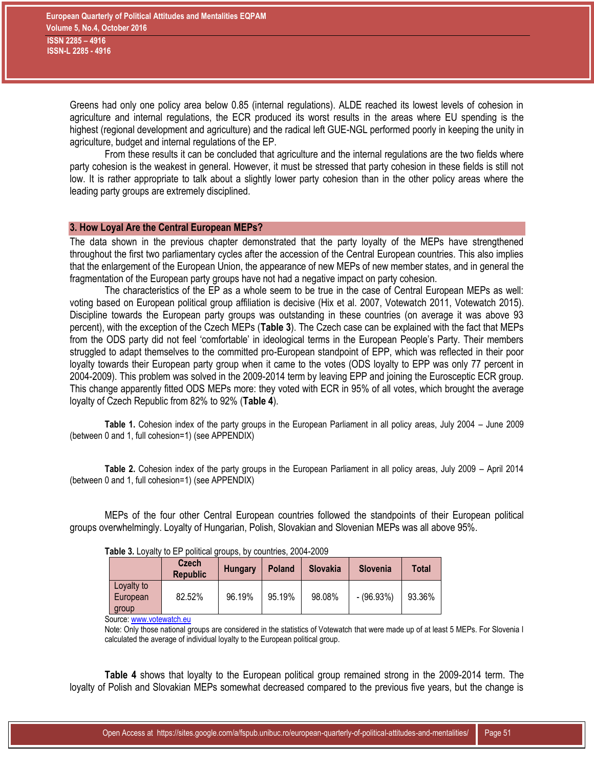Greens had only one policy area below 0.85 (internal regulations). ALDE reached its lowest levels of cohesion in agriculture and internal regulations, the ECR produced its worst results in the areas where EU spending is the highest (regional development and agriculture) and the radical left GUE-NGL performed poorly in keeping the unity in agriculture, budget and internal regulations of the EP.

From these results it can be concluded that agriculture and the internal regulations are the two fields where party cohesion is the weakest in general. However, it must be stressed that party cohesion in these fields is still not low. It is rather appropriate to talk about a slightly lower party cohesion than in the other policy areas where the leading party groups are extremely disciplined.

# **3. How Loyal Are the Central European MEPs?**

The data shown in the previous chapter demonstrated that the party loyalty of the MEPs have strengthened throughout the first two parliamentary cycles after the accession of the Central European countries. This also implies that the enlargement of the European Union, the appearance of new MEPs of new member states, and in general the fragmentation of the European party groups have not had a negative impact on party cohesion.

The characteristics of the EP as a whole seem to be true in the case of Central European MEPs as well: voting based on European political group affiliation is decisive (Hix et al. 2007, Votewatch 2011, Votewatch 2015). Discipline towards the European party groups was outstanding in these countries (on average it was above 93 percent), with the exception of the Czech MEPs (**Table 3**). The Czech case can be explained with the fact that MEPs from the ODS party did not feel 'comfortable' in ideological terms in the European People's Party. Their members struggled to adapt themselves to the committed pro-European standpoint of EPP, which was reflected in their poor loyalty towards their European party group when it came to the votes (ODS loyalty to EPP was only 77 percent in 2004-2009). This problem was solved in the 2009-2014 term by leaving EPP and joining the Eurosceptic ECR group. This change apparently fitted ODS MEPs more: they voted with ECR in 95% of all votes, which brought the average loyalty of Czech Republic from 82% to 92% (**Table 4**).

**Table 1.** Cohesion index of the party groups in the European Parliament in all policy areas, July 2004 – June 2009 (between 0 and 1, full cohesion=1) (see APPENDIX)

**Table 2.** Cohesion index of the party groups in the European Parliament in all policy areas, July 2009 – April 2014 (between 0 and 1, full cohesion=1) (see APPENDIX)

MEPs of the four other Central European countries followed the standpoints of their European political groups overwhelmingly. Loyalty of Hungarian, Polish, Slovakian and Slovenian MEPs was all above 95%.

|                                 | Czech<br><b>Republic</b> | <b>Hungary</b> | <b>Poland</b> | <b>Slovakia</b> | <b>Slovenia</b> | <b>Total</b> |
|---------------------------------|--------------------------|----------------|---------------|-----------------|-----------------|--------------|
| Loyalty to<br>European<br>group | 82.52%                   | 96.19%         | 95.19%        | 98.08%          | $-(96.93%)$     | 93.36%       |

**Table 3.** Loyalty to EP political groups, by countries, 2004-2009

Source[: www.votewatch.eu](http://www.votewatch.eu/)

Note: Only those national groups are considered in the statistics of Votewatch that were made up of at least 5 MEPs. For Slovenia I calculated the average of individual loyalty to the European political group.

**Table 4** shows that loyalty to the European political group remained strong in the 2009-2014 term. The loyalty of Polish and Slovakian MEPs somewhat decreased compared to the previous five years, but the change is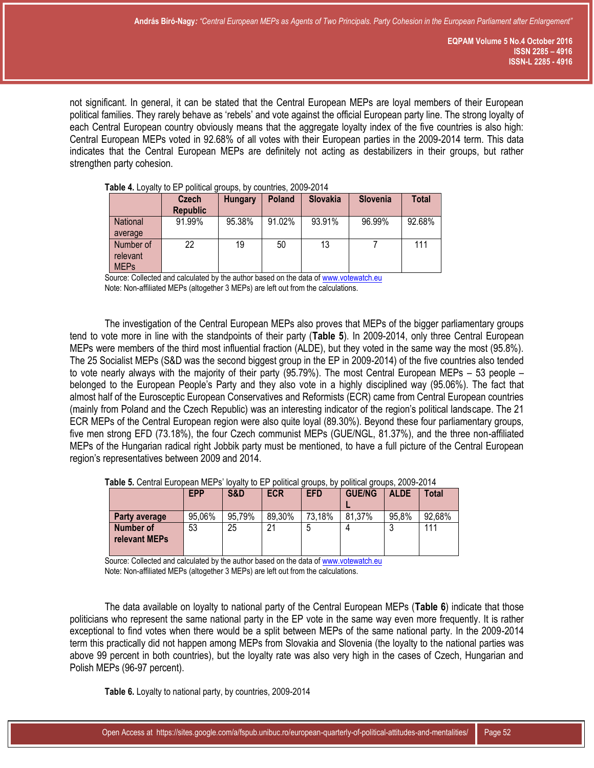not significant. In general, it can be stated that the Central European MEPs are loyal members of their European political families. They rarely behave as 'rebels' and vote against the official European party line. The strong loyalty of each Central European country obviously means that the aggregate loyalty index of the five countries is also high: Central European MEPs voted in 92.68% of all votes with their European parties in the 2009-2014 term. This data indicates that the Central European MEPs are definitely not acting as destabilizers in their groups, but rather strengthen party cohesion.

| $\frac{1}{2}$                        |                                 |                |               |                 |                 |        |  |  |  |
|--------------------------------------|---------------------------------|----------------|---------------|-----------------|-----------------|--------|--|--|--|
|                                      | <b>Czech</b><br><b>Republic</b> | <b>Hungary</b> | <b>Poland</b> | <b>Slovakia</b> | <b>Slovenia</b> | Total  |  |  |  |
| <b>National</b><br>average           | 91.99%                          | 95.38%         | 91.02%        | 93.91%          | 96.99%          | 92.68% |  |  |  |
| Number of<br>relevant<br><b>MEPs</b> | 22                              | 19             | 50            | 13              |                 | 111    |  |  |  |

**Table 4.** Loyalty to EP political groups, by countries, 2009-2014

Source: Collected and calculated by the author based on the data o[f www.votewatch.eu](http://www.votewatch.eu/) Note: Non-affiliated MEPs (altogether 3 MEPs) are left out from the calculations.

The investigation of the Central European MEPs also proves that MEPs of the bigger parliamentary groups tend to vote more in line with the standpoints of their party (**Table 5**). In 2009-2014, only three Central European MEPs were members of the third most influential fraction (ALDE), but they voted in the same way the most (95.8%). The 25 Socialist MEPs (S&D was the second biggest group in the EP in 2009-2014) of the five countries also tended to vote nearly always with the majority of their party (95.79%). The most Central European MEPs – 53 people – belonged to the European People's Party and they also vote in a highly disciplined way (95.06%). The fact that almost half of the Eurosceptic European Conservatives and Reformists (ECR) came from Central European countries (mainly from Poland and the Czech Republic) was an interesting indicator of the region's political landscape. The 21 ECR MEPs of the Central European region were also quite loyal (89.30%). Beyond these four parliamentary groups, five men strong EFD (73.18%), the four Czech communist MEPs (GUE/NGL, 81.37%), and the three non-affiliated MEPs of the Hungarian radical right Jobbik party must be mentioned, to have a full picture of the Central European region's representatives between 2009 and 2014.

|                                   | <b>EPP</b> | S&D    | <b>ECR</b> | <b>EFD</b> | <b>GUE/NG</b> | <b>ALDE</b> | <b>Total</b> |
|-----------------------------------|------------|--------|------------|------------|---------------|-------------|--------------|
| <b>Party average</b>              | 95,06%     | 95,79% | 89,30%     | 73,18%     | 81.37%        | 95,8%       | 92,68%       |
| <b>Number of</b><br>relevant MEPs | 53         | 25     | 21         |            |               |             | 111          |

**Table 5.** Central European MEPs' loyalty to EP political groups, by political groups, 2009-2014

Source: Collected and calculated by the author based on the data o[f www.votewatch.eu](http://www.votewatch.eu/) Note: Non-affiliated MEPs (altogether 3 MEPs) are left out from the calculations.

The data available on loyalty to national party of the Central European MEPs (**Table 6**) indicate that those politicians who represent the same national party in the EP vote in the same way even more frequently. It is rather exceptional to find votes when there would be a split between MEPs of the same national party. In the 2009-2014 term this practically did not happen among MEPs from Slovakia and Slovenia (the loyalty to the national parties was above 99 percent in both countries), but the loyalty rate was also very high in the cases of Czech, Hungarian and Polish MEPs (96-97 percent).

**Table 6.** Loyalty to national party, by countries, 2009-2014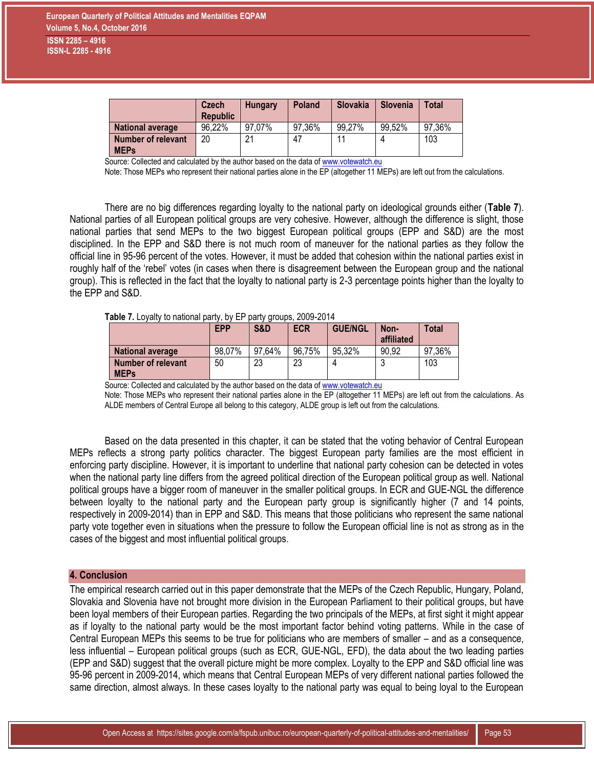|                                          | <b>Czech</b><br><b>Republic</b> | <b>Hungary</b> | <b>Poland</b> | <b>Slovakia</b> | <b>Slovenia</b> | Total  |
|------------------------------------------|---------------------------------|----------------|---------------|-----------------|-----------------|--------|
| <b>National average</b>                  | 96,22%                          | 97.07%         | 97,36%        | 99,27%          | 99,52%          | 97,36% |
| <b>Number of relevant</b><br><b>MEPs</b> | 20                              | 21             | 47            |                 |                 | 103    |

Source: Collected and calculated by the author based on the data o[f www.votewatch.eu](http://www.votewatch.eu/)

Note: Those MEPs who represent their national parties alone in the EP (altogether 11 MEPs) are left out from the calculations.

There are no big differences regarding loyalty to the national party on ideological grounds either (**Table 7**). National parties of all European political groups are very cohesive. However, although the difference is slight, those national parties that send MEPs to the two biggest European political groups (EPP and S&D) are the most disciplined. In the EPP and S&D there is not much room of maneuver for the national parties as they follow the official line in 95-96 percent of the votes. However, it must be added that cohesion within the national parties exist in roughly half of the 'rebel' votes (in cases when there is disagreement between the European group and the national group). This is reflected in the fact that the loyalty to national party is 2-3 percentage points higher than the loyalty to the EPP and S&D.

| Table 7. Loyalty to national party, by EP party groups, 2009-2014 |  |  |  |  |  |  |
|-------------------------------------------------------------------|--|--|--|--|--|--|
|-------------------------------------------------------------------|--|--|--|--|--|--|

|                                          | <b>EPP</b> | S&D    | <b>ECR</b> | <b>GUE/NGL</b> | Non-<br>affiliated | Total  |
|------------------------------------------|------------|--------|------------|----------------|--------------------|--------|
| <b>National average</b>                  | 98,07%     | 97.64% | 96,75%     | 95,32%         | 90.92              | 97,36% |
| <b>Number of relevant</b><br><b>MEPs</b> | 50         | 23     | 23         | 4              | J                  | 103    |

Source: Collected and calculated by the author based on the data o[f www.votewatch.eu](http://www.votewatch.eu/)

Note: Those MEPs who represent their national parties alone in the EP (altogether 11 MEPs) are left out from the calculations. As ALDE members of Central Europe all belong to this category, ALDE group is left out from the calculations.

Based on the data presented in this chapter, it can be stated that the voting behavior of Central European MEPs reflects a strong party politics character. The biggest European party families are the most efficient in enforcing party discipline. However, it is important to underline that national party cohesion can be detected in votes when the national party line differs from the agreed political direction of the European political group as well. National political groups have a bigger room of maneuver in the smaller political groups. In ECR and GUE-NGL the difference between loyalty to the national party and the European party group is significantly higher (7 and 14 points, respectively in 2009-2014) than in EPP and S&D. This means that those politicians who represent the same national party vote together even in situations when the pressure to follow the European official line is not as strong as in the cases of the biggest and most influential political groups.

# **4. Conclusion**

The empirical research carried out in this paper demonstrate that the MEPs of the Czech Republic, Hungary, Poland, Slovakia and Slovenia have not brought more division in the European Parliament to their political groups, but have been loyal members of their European parties. Regarding the two principals of the MEPs, at first sight it might appear as if loyalty to the national party would be the most important factor behind voting patterns. While in the case of Central European MEPs this seems to be true for politicians who are members of smaller – and as a consequence, less influential – European political groups (such as ECR, GUE-NGL, EFD), the data about the two leading parties (EPP and S&D) suggest that the overall picture might be more complex. Loyalty to the EPP and S&D official line was 95-96 percent in 2009-2014, which means that Central European MEPs of very different national parties followed the same direction, almost always. In these cases loyalty to the national party was equal to being loyal to the European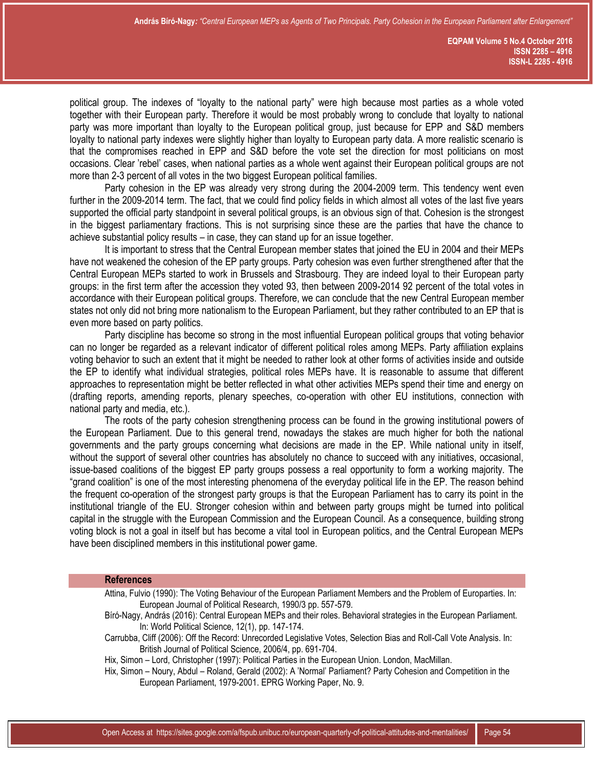political group. The indexes of "loyalty to the national party" were high because most parties as a whole voted together with their European party. Therefore it would be most probably wrong to conclude that loyalty to national party was more important than loyalty to the European political group, just because for EPP and S&D members loyalty to national party indexes were slightly higher than loyalty to European party data. A more realistic scenario is that the compromises reached in EPP and S&D before the vote set the direction for most politicians on most occasions. Clear 'rebel' cases, when national parties as a whole went against their European political groups are not more than 2-3 percent of all votes in the two biggest European political families.

Party cohesion in the EP was already very strong during the 2004-2009 term. This tendency went even further in the 2009-2014 term. The fact, that we could find policy fields in which almost all votes of the last five years supported the official party standpoint in several political groups, is an obvious sign of that. Cohesion is the strongest in the biggest parliamentary fractions. This is not surprising since these are the parties that have the chance to achieve substantial policy results – in case, they can stand up for an issue together.

It is important to stress that the Central European member states that joined the EU in 2004 and their MEPs have not weakened the cohesion of the EP party groups. Party cohesion was even further strengthened after that the Central European MEPs started to work in Brussels and Strasbourg. They are indeed loyal to their European party groups: in the first term after the accession they voted 93, then between 2009-2014 92 percent of the total votes in accordance with their European political groups. Therefore, we can conclude that the new Central European member states not only did not bring more nationalism to the European Parliament, but they rather contributed to an EP that is even more based on party politics.

Party discipline has become so strong in the most influential European political groups that voting behavior can no longer be regarded as a relevant indicator of different political roles among MEPs. Party affiliation explains voting behavior to such an extent that it might be needed to rather look at other forms of activities inside and outside the EP to identify what individual strategies, political roles MEPs have. It is reasonable to assume that different approaches to representation might be better reflected in what other activities MEPs spend their time and energy on (drafting reports, amending reports, plenary speeches, co-operation with other EU institutions, connection with national party and media, etc.).

The roots of the party cohesion strengthening process can be found in the growing institutional powers of the European Parliament. Due to this general trend, nowadays the stakes are much higher for both the national governments and the party groups concerning what decisions are made in the EP. While national unity in itself, without the support of several other countries has absolutely no chance to succeed with any initiatives, occasional, issue-based coalitions of the biggest EP party groups possess a real opportunity to form a working majority. The "grand coalition" is one of the most interesting phenomena of the everyday political life in the EP. The reason behind the frequent co-operation of the strongest party groups is that the European Parliament has to carry its point in the institutional triangle of the EU. Stronger cohesion within and between party groups might be turned into political capital in the struggle with the European Commission and the European Council. As a consequence, building strong voting block is not a goal in itself but has become a vital tool in European politics, and the Central European MEPs have been disciplined members in this institutional power game.

# **References**

- Attina, Fulvio (1990): The Voting Behaviour of the European Parliament Members and the Problem of Europarties. In: European Journal of Political Research, 1990/3 pp. 557-579.
- Bíró-Nagy, András (2016): Central European MEPs and their roles. Behavioral strategies in the European Parliament. In: World Political Science, 12(1), pp. 147-174.
- Carrubba, Cliff (2006): Off the Record: Unrecorded Legislative Votes, Selection Bias and Roll-Call Vote Analysis. In: British Journal of Political Science, 2006/4, pp. 691-704.
- Hix, Simon Lord, Christopher (1997): Political Parties in the European Union. London, MacMillan.
- Hix, Simon Noury, Abdul Roland, Gerald (2002): A 'Normal' Parliament? Party Cohesion and Competition in the European Parliament, 1979-2001. EPRG Working Paper, No. 9.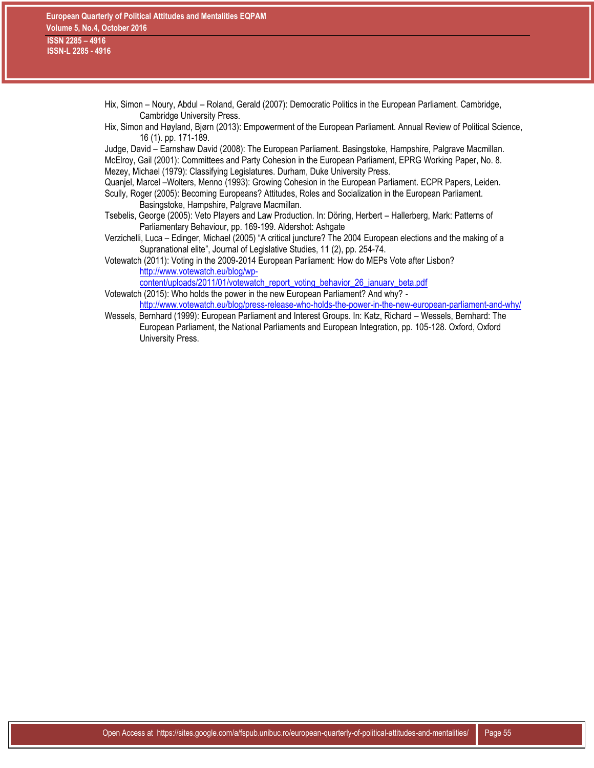| Hix, Simon – Noury, Abdul – Roland, Gerald (2007): Democratic Politics in the European Parliament. Cambridge,                             |  |
|-------------------------------------------------------------------------------------------------------------------------------------------|--|
| Cambridge University Press.                                                                                                               |  |
| Hix, Simon and Høyland, Bjørn (2013): Empowerment of the European Parliament. Annual Review of Political Science,<br>16 (1). pp. 171-189. |  |
| Judge, David – Earnshaw David (2008): The European Parliament. Basingstoke, Hampshire, Palgrave Macmillan.                                |  |
| McElroy, Gail (2001): Committees and Party Cohesion in the European Parliament, EPRG Working Paper, No. 8.                                |  |
| Mezey, Michael (1979): Classifying Legislatures. Durham, Duke University Press.                                                           |  |
| Quanjel, Marcel –Wolters, Menno (1993): Growing Cohesion in the European Parliament. ECPR Papers, Leiden.                                 |  |
| Scully, Roger (2005): Becoming Europeans? Attitudes, Roles and Socialization in the European Parliament.                                  |  |
| Basingstoke, Hampshire, Palgrave Macmillan.                                                                                               |  |
| Tsebelis, George (2005): Veto Players and Law Production. In: Döring, Herbert - Hallerberg, Mark: Patterns of                             |  |
| Parliamentary Behaviour, pp. 169-199. Aldershot: Ashgate                                                                                  |  |
| Verzichelli, Luca – Edinger, Michael (2005) "A critical juncture? The 2004 European elections and the making of a                         |  |
| Supranational elite", Journal of Legislative Studies, 11 (2), pp. 254-74.                                                                 |  |
| Votewatch (2011): Voting in the 2009-2014 European Parliament: How do MEPs Vote after Lisbon?                                             |  |
| http://www.votewatch.eu/blog/wp-                                                                                                          |  |
| content/uploads/2011/01/votewatch report voting behavior 26 january beta.pdf                                                              |  |
| Votewatch (2015): Who holds the power in the new European Parliament? And why? -                                                          |  |
|                                                                                                                                           |  |

<http://www.votewatch.eu/blog/press-release-who-holds-the-power-in-the-new-european-parliament-and-why/>

Wessels, Bernhard (1999): European Parliament and Interest Groups. In: Katz, Richard – Wessels, Bernhard: The European Parliament, the National Parliaments and European Integration, pp. 105-128. Oxford, Oxford University Press.